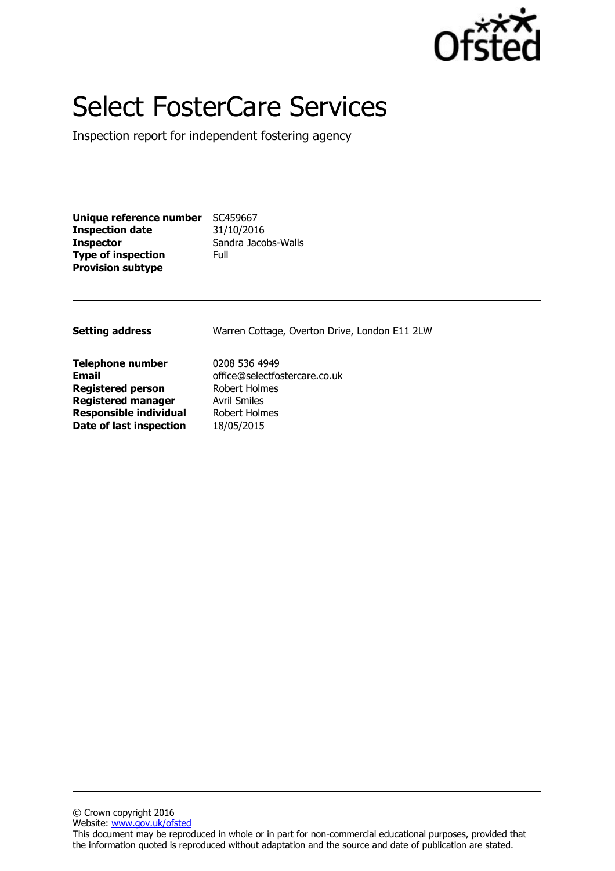

# Select FosterCare Services

Inspection report for independent fostering agency

| Unique reference number   | SC459667            |
|---------------------------|---------------------|
| <b>Inspection date</b>    | 31/10/2016          |
| Inspector                 | Sandra Jacobs-Walls |
| <b>Type of inspection</b> | Full                |
| <b>Provision subtype</b>  |                     |

| <b>Setting address</b>                                              | Warren Cottage, Overton Drive, London E11 2LW                   |
|---------------------------------------------------------------------|-----------------------------------------------------------------|
| <b>Telephone number</b><br><b>Email</b><br><b>Registered person</b> | 0208 536 4949<br>office@selectfostercare.co.uk<br>Robert Holmes |
| <b>Registered manager</b>                                           | <b>Avril Smiles</b>                                             |
| <b>Responsible individual</b>                                       | Robert Holmes                                                   |
| Date of last inspection                                             | 18/05/2015                                                      |
|                                                                     |                                                                 |

© Crown copyright 2016 Website: www.gov.uk/ofsted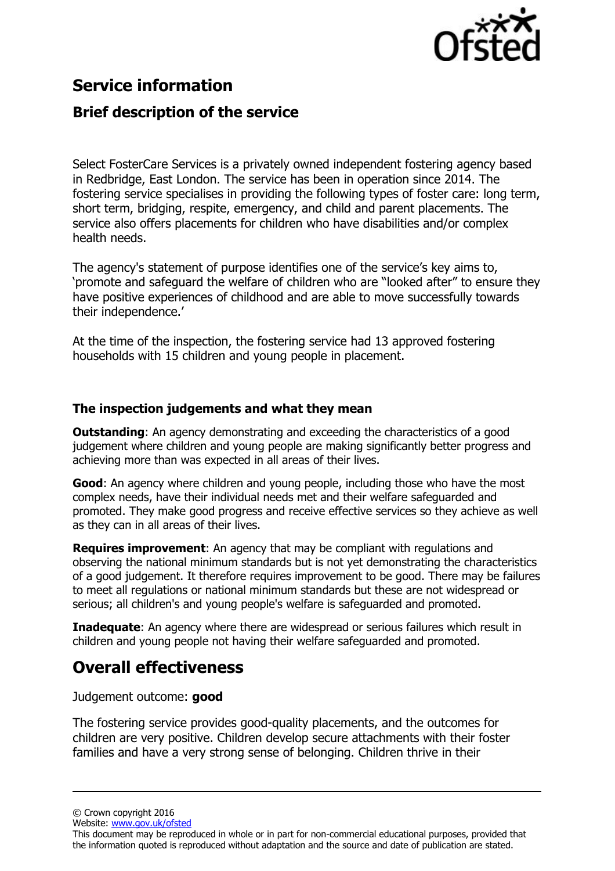

## **Service information**

## **Brief description of the service**

Select FosterCare Services is a privately owned independent fostering agency based in Redbridge, East London. The service has been in operation since 2014. The fostering service specialises in providing the following types of foster care: long term, short term, bridging, respite, emergency, and child and parent placements. The service also offers placements for children who have disabilities and/or complex health needs.

The agency's statement of purpose identifies one of the service's key aims to, 'promote and safeguard the welfare of children who are "looked after" to ensure they have positive experiences of childhood and are able to move successfully towards their independence.'

At the time of the inspection, the fostering service had 13 approved fostering households with 15 children and young people in placement.

#### **The inspection judgements and what they mean**

**Outstanding:** An agency demonstrating and exceeding the characteristics of a good judgement where children and young people are making significantly better progress and achieving more than was expected in all areas of their lives.

**Good**: An agency where children and young people, including those who have the most complex needs, have their individual needs met and their welfare safeguarded and promoted. They make good progress and receive effective services so they achieve as well as they can in all areas of their lives.

**Requires improvement**: An agency that may be compliant with regulations and observing the national minimum standards but is not yet demonstrating the characteristics of a good judgement. It therefore requires improvement to be good. There may be failures to meet all regulations or national minimum standards but these are not widespread or serious; all children's and young people's welfare is safeguarded and promoted.

**Inadequate**: An agency where there are widespread or serious failures which result in children and young people not having their welfare safeguarded and promoted.

# **Overall effectiveness**

Judgement outcome: **good**

The fostering service provides good-quality placements, and the outcomes for children are very positive. Children develop secure attachments with their foster families and have a very strong sense of belonging. Children thrive in their

© Crown copyright 2016

Website: www.gov.uk/ofsted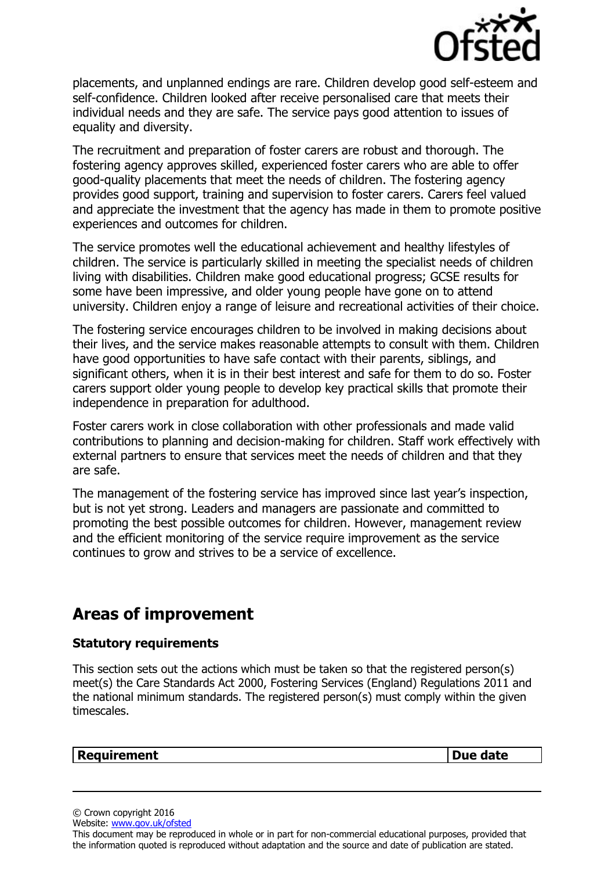

placements, and unplanned endings are rare. Children develop good self-esteem and self-confidence. Children looked after receive personalised care that meets their individual needs and they are safe. The service pays good attention to issues of equality and diversity.

The recruitment and preparation of foster carers are robust and thorough. The fostering agency approves skilled, experienced foster carers who are able to offer good-quality placements that meet the needs of children. The fostering agency provides good support, training and supervision to foster carers. Carers feel valued and appreciate the investment that the agency has made in them to promote positive experiences and outcomes for children.

The service promotes well the educational achievement and healthy lifestyles of children. The service is particularly skilled in meeting the specialist needs of children living with disabilities. Children make good educational progress; GCSE results for some have been impressive, and older young people have gone on to attend university. Children enjoy a range of leisure and recreational activities of their choice.

The fostering service encourages children to be involved in making decisions about their lives, and the service makes reasonable attempts to consult with them. Children have good opportunities to have safe contact with their parents, siblings, and significant others, when it is in their best interest and safe for them to do so. Foster carers support older young people to develop key practical skills that promote their independence in preparation for adulthood.

Foster carers work in close collaboration with other professionals and made valid contributions to planning and decision-making for children. Staff work effectively with external partners to ensure that services meet the needs of children and that they are safe.

The management of the fostering service has improved since last year's inspection, but is not yet strong. Leaders and managers are passionate and committed to promoting the best possible outcomes for children. However, management review and the efficient monitoring of the service require improvement as the service continues to grow and strives to be a service of excellence.

## **Areas of improvement**

#### **Statutory requirements**

This section sets out the actions which must be taken so that the registered person(s) meet(s) the Care Standards Act 2000, Fostering Services (England) Regulations 2011 and the national minimum standards. The registered person(s) must comply within the given timescales.

#### **Requirement Due date**

© Crown copyright 2016

```
Website: www.gov.uk/ofsted
```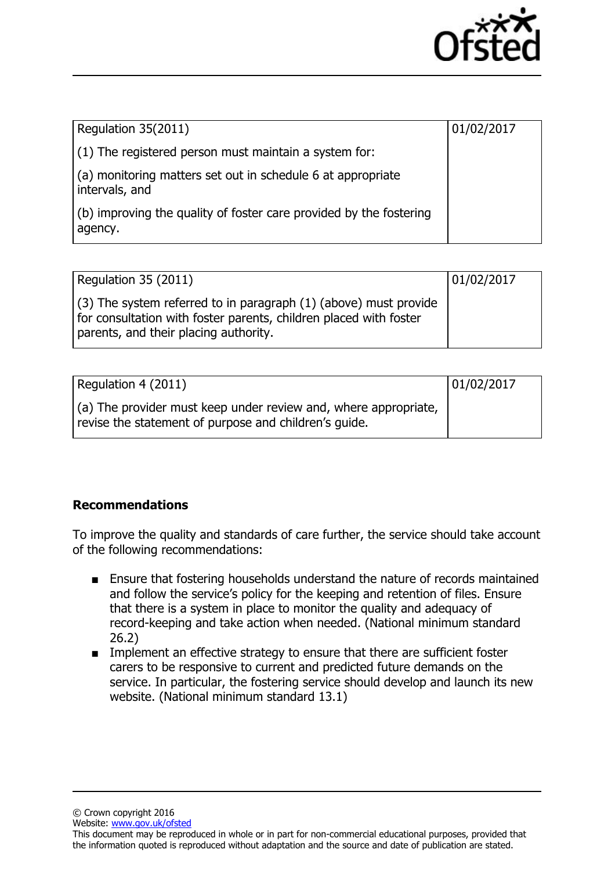

| Regulation 35(2011)                                                           | 01/02/2017 |
|-------------------------------------------------------------------------------|------------|
| $(1)$ The registered person must maintain a system for:                       |            |
| (a) monitoring matters set out in schedule 6 at appropriate<br>intervals, and |            |
| (b) improving the quality of foster care provided by the fostering<br>agency. |            |

| Regulation 35 (2011)                                                                                                                                                             | 01/02/2017 |
|----------------------------------------------------------------------------------------------------------------------------------------------------------------------------------|------------|
| $(3)$ The system referred to in paragraph (1) (above) must provide<br>for consultation with foster parents, children placed with foster<br>parents, and their placing authority. |            |

| Regulation 4 (2011)                                                                                                              | 01/02/2017 |
|----------------------------------------------------------------------------------------------------------------------------------|------------|
| $\vert$ (a) The provider must keep under review and, where appropriate,<br>revise the statement of purpose and children's quide. |            |

### **Recommendations**

To improve the quality and standards of care further, the service should take account of the following recommendations:

- Ensure that fostering households understand the nature of records maintained and follow the service's policy for the keeping and retention of files. Ensure that there is a system in place to monitor the quality and adequacy of record-keeping and take action when needed. (National minimum standard 26.2)
- Implement an effective strategy to ensure that there are sufficient foster carers to be responsive to current and predicted future demands on the service. In particular, the fostering service should develop and launch its new website. (National minimum standard 13.1)

© Crown copyright 2016 Website: www.gov.uk/ofsted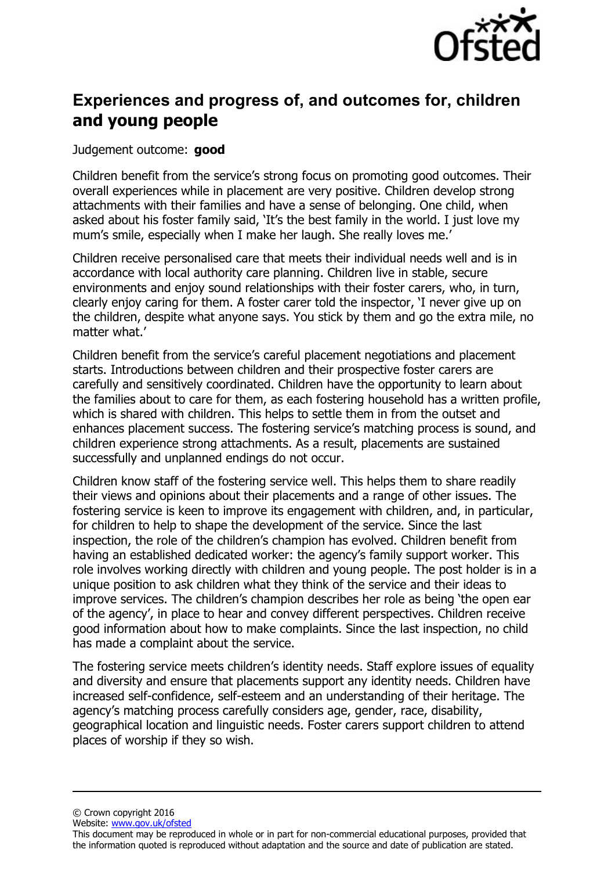

## **Experiences and progress of, and outcomes for, children and young people**

Judgement outcome: **good**

Children benefit from the service's strong focus on promoting good outcomes. Their overall experiences while in placement are very positive. Children develop strong attachments with their families and have a sense of belonging. One child, when asked about his foster family said, 'It's the best family in the world. I just love my mum's smile, especially when I make her laugh. She really loves me.'

Children receive personalised care that meets their individual needs well and is in accordance with local authority care planning. Children live in stable, secure environments and enjoy sound relationships with their foster carers, who, in turn, clearly enjoy caring for them. A foster carer told the inspector, 'I never give up on the children, despite what anyone says. You stick by them and go the extra mile, no matter what.'

Children benefit from the service's careful placement negotiations and placement starts. Introductions between children and their prospective foster carers are carefully and sensitively coordinated. Children have the opportunity to learn about the families about to care for them, as each fostering household has a written profile, which is shared with children. This helps to settle them in from the outset and enhances placement success. The fostering service's matching process is sound, and children experience strong attachments. As a result, placements are sustained successfully and unplanned endings do not occur.

Children know staff of the fostering service well. This helps them to share readily their views and opinions about their placements and a range of other issues. The fostering service is keen to improve its engagement with children, and, in particular, for children to help to shape the development of the service. Since the last inspection, the role of the children's champion has evolved. Children benefit from having an established dedicated worker: the agency's family support worker. This role involves working directly with children and young people. The post holder is in a unique position to ask children what they think of the service and their ideas to improve services. The children's champion describes her role as being 'the open ear of the agency', in place to hear and convey different perspectives. Children receive good information about how to make complaints. Since the last inspection, no child has made a complaint about the service.

The fostering service meets children's identity needs. Staff explore issues of equality and diversity and ensure that placements support any identity needs. Children have increased self-confidence, self-esteem and an understanding of their heritage. The agency's matching process carefully considers age, gender, race, disability, geographical location and linguistic needs. Foster carers support children to attend places of worship if they so wish.

© Crown copyright 2016

Website: www.gov.uk/ofsted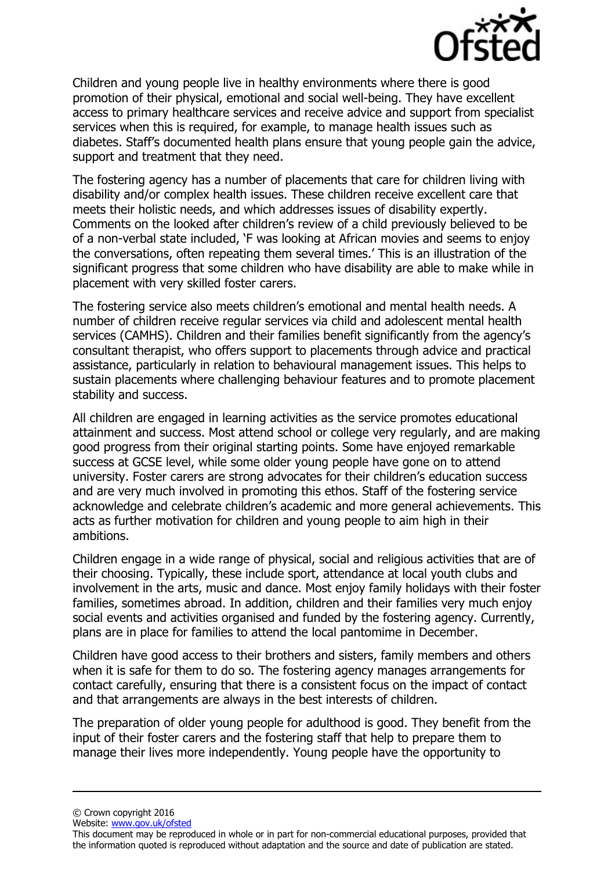

Children and young people live in healthy environments where there is good promotion of their physical, emotional and social well-being. They have excellent access to primary healthcare services and receive advice and support from specialist services when this is required, for example, to manage health issues such as diabetes. Staff's documented health plans ensure that young people gain the advice, support and treatment that they need.

The fostering agency has a number of placements that care for children living with disability and/or complex health issues. These children receive excellent care that meets their holistic needs, and which addresses issues of disability expertly. Comments on the looked after children's review of a child previously believed to be of a non-verbal state included, 'F was looking at African movies and seems to enjoy the conversations, often repeating them several times.' This is an illustration of the significant progress that some children who have disability are able to make while in placement with very skilled foster carers.

The fostering service also meets children's emotional and mental health needs. A number of children receive regular services via child and adolescent mental health services (CAMHS). Children and their families benefit significantly from the agency's consultant therapist, who offers support to placements through advice and practical assistance, particularly in relation to behavioural management issues. This helps to sustain placements where challenging behaviour features and to promote placement stability and success.

All children are engaged in learning activities as the service promotes educational attainment and success. Most attend school or college very regularly, and are making good progress from their original starting points. Some have enjoyed remarkable success at GCSE level, while some older young people have gone on to attend university. Foster carers are strong advocates for their children's education success and are very much involved in promoting this ethos. Staff of the fostering service acknowledge and celebrate children's academic and more general achievements. This acts as further motivation for children and young people to aim high in their ambitions.

Children engage in a wide range of physical, social and religious activities that are of their choosing. Typically, these include sport, attendance at local youth clubs and involvement in the arts, music and dance. Most enjoy family holidays with their foster families, sometimes abroad. In addition, children and their families very much enjoy social events and activities organised and funded by the fostering agency. Currently, plans are in place for families to attend the local pantomime in December.

Children have good access to their brothers and sisters, family members and others when it is safe for them to do so. The fostering agency manages arrangements for contact carefully, ensuring that there is a consistent focus on the impact of contact and that arrangements are always in the best interests of children.

The preparation of older young people for adulthood is good. They benefit from the input of their foster carers and the fostering staff that help to prepare them to manage their lives more independently. Young people have the opportunity to

© Crown copyright 2016

Website: www.gov.uk/ofsted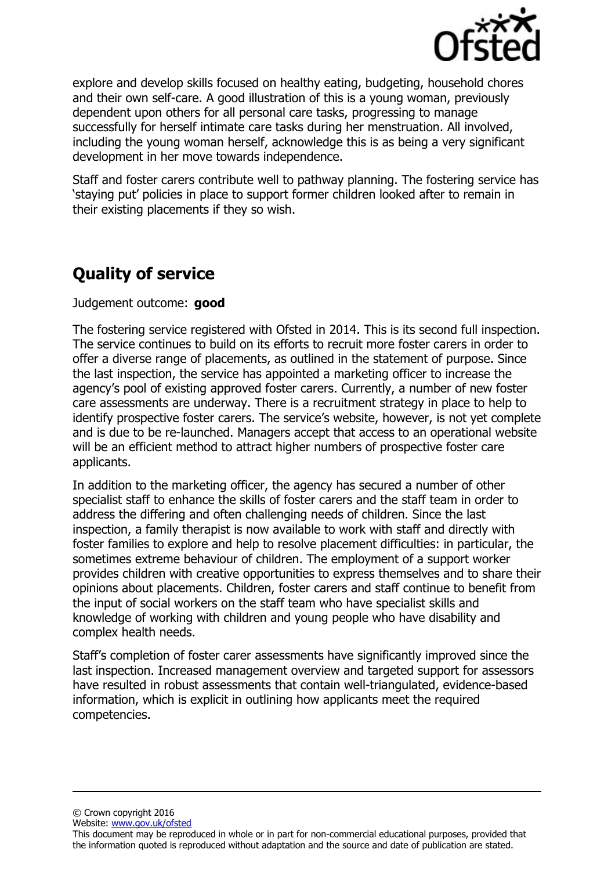

explore and develop skills focused on healthy eating, budgeting, household chores and their own self-care. A good illustration of this is a young woman, previously dependent upon others for all personal care tasks, progressing to manage successfully for herself intimate care tasks during her menstruation. All involved, including the young woman herself, acknowledge this is as being a very significant development in her move towards independence.

Staff and foster carers contribute well to pathway planning. The fostering service has 'staying put' policies in place to support former children looked after to remain in their existing placements if they so wish.

# **Quality of service**

Judgement outcome: **good**

The fostering service registered with Ofsted in 2014. This is its second full inspection. The service continues to build on its efforts to recruit more foster carers in order to offer a diverse range of placements, as outlined in the statement of purpose. Since the last inspection, the service has appointed a marketing officer to increase the agency's pool of existing approved foster carers. Currently, a number of new foster care assessments are underway. There is a recruitment strategy in place to help to identify prospective foster carers. The service's website, however, is not yet complete and is due to be re-launched. Managers accept that access to an operational website will be an efficient method to attract higher numbers of prospective foster care applicants.

In addition to the marketing officer, the agency has secured a number of other specialist staff to enhance the skills of foster carers and the staff team in order to address the differing and often challenging needs of children. Since the last inspection, a family therapist is now available to work with staff and directly with foster families to explore and help to resolve placement difficulties: in particular, the sometimes extreme behaviour of children. The employment of a support worker provides children with creative opportunities to express themselves and to share their opinions about placements. Children, foster carers and staff continue to benefit from the input of social workers on the staff team who have specialist skills and knowledge of working with children and young people who have disability and complex health needs.

Staff's completion of foster carer assessments have significantly improved since the last inspection. Increased management overview and targeted support for assessors have resulted in robust assessments that contain well-triangulated, evidence-based information, which is explicit in outlining how applicants meet the required competencies.

© Crown copyright 2016

Website: www.gov.uk/ofsted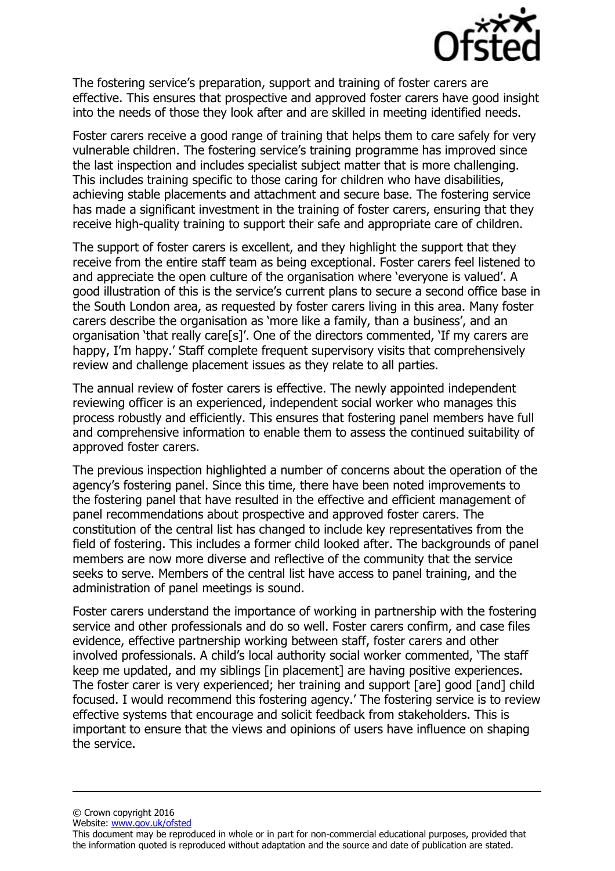

The fostering service's preparation, support and training of foster carers are effective. This ensures that prospective and approved foster carers have good insight into the needs of those they look after and are skilled in meeting identified needs.

Foster carers receive a good range of training that helps them to care safely for very vulnerable children. The fostering service's training programme has improved since the last inspection and includes specialist subject matter that is more challenging. This includes training specific to those caring for children who have disabilities, achieving stable placements and attachment and secure base. The fostering service has made a significant investment in the training of foster carers, ensuring that they receive high-quality training to support their safe and appropriate care of children.

The support of foster carers is excellent, and they highlight the support that they receive from the entire staff team as being exceptional. Foster carers feel listened to and appreciate the open culture of the organisation where 'everyone is valued'. A good illustration of this is the service's current plans to secure a second office base in the South London area, as requested by foster carers living in this area. Many foster carers describe the organisation as 'more like a family, than a business', and an organisation 'that really care[s]'. One of the directors commented, 'If my carers are happy, I'm happy.' Staff complete frequent supervisory visits that comprehensively review and challenge placement issues as they relate to all parties.

The annual review of foster carers is effective. The newly appointed independent reviewing officer is an experienced, independent social worker who manages this process robustly and efficiently. This ensures that fostering panel members have full and comprehensive information to enable them to assess the continued suitability of approved foster carers.

The previous inspection highlighted a number of concerns about the operation of the agency's fostering panel. Since this time, there have been noted improvements to the fostering panel that have resulted in the effective and efficient management of panel recommendations about prospective and approved foster carers. The constitution of the central list has changed to include key representatives from the field of fostering. This includes a former child looked after. The backgrounds of panel members are now more diverse and reflective of the community that the service seeks to serve. Members of the central list have access to panel training, and the administration of panel meetings is sound.

Foster carers understand the importance of working in partnership with the fostering service and other professionals and do so well. Foster carers confirm, and case files evidence, effective partnership working between staff, foster carers and other involved professionals. A child's local authority social worker commented, 'The staff keep me updated, and my siblings [in placement] are having positive experiences. The foster carer is very experienced; her training and support [are] good [and] child focused. I would recommend this fostering agency.' The fostering service is to review effective systems that encourage and solicit feedback from stakeholders. This is important to ensure that the views and opinions of users have influence on shaping the service.

© Crown copyright 2016

Website: www.gov.uk/ofsted

This document may be reproduced in whole or in part for non-commercial educational purposes, provided that the information quoted is reproduced without adaptation and the source and date of publication are stated.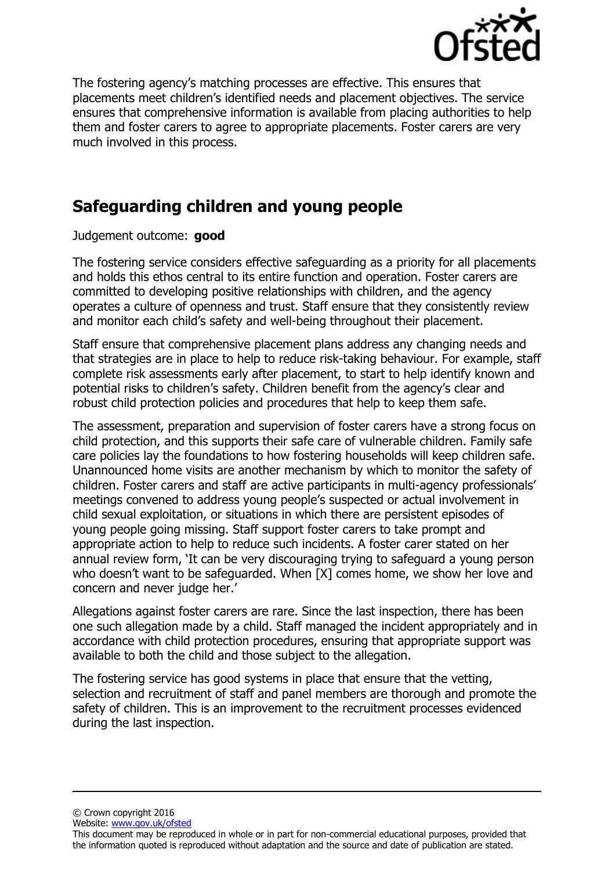

The fostering agency's matching processes are effective. This ensures that placements meet children's identified needs and placement objectives. The service ensures that comprehensive information is available from placing authorities to help them and foster carers to agree to appropriate placements. Foster carers are very much involved in this process.

# **Safeguarding children and young people**

#### Judgement outcome: **good**

The fostering service considers effective safeguarding as a priority for all placements and holds this ethos central to its entire function and operation. Foster carers are committed to developing positive relationships with children, and the agency operates a culture of openness and trust. Staff ensure that they consistently review and monitor each child's safety and well-being throughout their placement.

Staff ensure that comprehensive placement plans address any changing needs and that strategies are in place to help to reduce risk-taking behaviour. For example, staff complete risk assessments early after placement, to start to help identify known and potential risks to children's safety. Children benefit from the agency's clear and robust child protection policies and procedures that help to keep them safe.

The assessment, preparation and supervision of foster carers have a strong focus on child protection, and this supports their safe care of vulnerable children. Family safe care policies lay the foundations to how fostering households will keep children safe. Unannounced home visits are another mechanism by which to monitor the safety of children. Foster carers and staff are active participants in multi-agency professionals' meetings convened to address young people's suspected or actual involvement in child sexual exploitation, or situations in which there are persistent episodes of young people going missing. Staff support foster carers to take prompt and appropriate action to help to reduce such incidents. A foster carer stated on her annual review form, 'It can be very discouraging trying to safeguard a young person who doesn't want to be safeguarded. When [X] comes home, we show her love and concern and never judge her.'

Allegations against foster carers are rare. Since the last inspection, there has been one such allegation made by a child. Staff managed the incident appropriately and in accordance with child protection procedures, ensuring that appropriate support was available to both the child and those subject to the allegation.

The fostering service has good systems in place that ensure that the vetting, selection and recruitment of staff and panel members are thorough and promote the safety of children. This is an improvement to the recruitment processes evidenced during the last inspection.

© Crown copyright 2016

Website: www.gov.uk/ofsted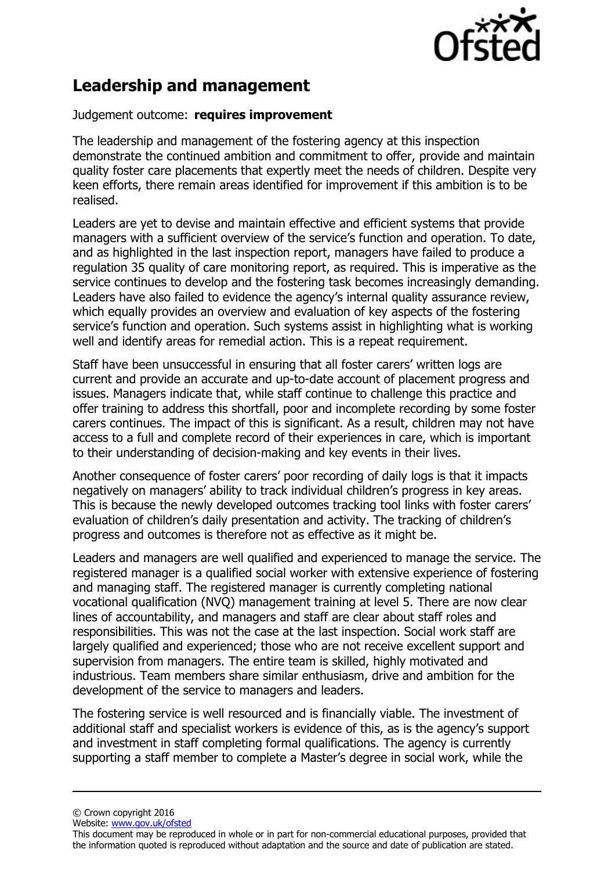

# **Leadership and management**

#### Judgement outcome: **requires improvement**

The leadership and management of the fostering agency at this inspection demonstrate the continued ambition and commitment to offer, provide and maintain quality foster care placements that expertly meet the needs of children. Despite very keen efforts, there remain areas identified for improvement if this ambition is to be realised.

Leaders are yet to devise and maintain effective and efficient systems that provide managers with a sufficient overview of the service's function and operation. To date, and as highlighted in the last inspection report, managers have failed to produce a regulation 35 quality of care monitoring report, as required. This is imperative as the service continues to develop and the fostering task becomes increasingly demanding. Leaders have also failed to evidence the agency's internal quality assurance review, which equally provides an overview and evaluation of key aspects of the fostering service's function and operation. Such systems assist in highlighting what is working well and identify areas for remedial action. This is a repeat requirement.

Staff have been unsuccessful in ensuring that all foster carers' written logs are current and provide an accurate and up-to-date account of placement progress and issues. Managers indicate that, while staff continue to challenge this practice and offer training to address this shortfall, poor and incomplete recording by some foster carers continues. The impact of this is significant. As a result, children may not have access to a full and complete record of their experiences in care, which is important to their understanding of decision-making and key events in their lives.

Another consequence of foster carers' poor recording of daily logs is that it impacts negatively on managers' ability to track individual children's progress in key areas. This is because the newly developed outcomes tracking tool links with foster carers' evaluation of children's daily presentation and activity. The tracking of children's progress and outcomes is therefore not as effective as it might be.

Leaders and managers are well qualified and experienced to manage the service. The registered manager is a qualified social worker with extensive experience of fostering and managing staff. The registered manager is currently completing national vocational qualification (NVQ) management training at level 5. There are now clear lines of accountability, and managers and staff are clear about staff roles and responsibilities. This was not the case at the last inspection. Social work staff are largely qualified and experienced; those who are not receive excellent support and supervision from managers. The entire team is skilled, highly motivated and industrious. Team members share similar enthusiasm, drive and ambition for the development of the service to managers and leaders.

The fostering service is well resourced and is financially viable. The investment of additional staff and specialist workers is evidence of this, as is the agency's support and investment in staff completing formal qualifications. The agency is currently supporting a staff member to complete a Master's degree in social work, while the

© Crown copyright 2016

Website: www.gov.uk/ofsted

This document may be reproduced in whole or in part for non-commercial educational purposes, provided that the information quoted is reproduced without adaptation and the source and date of publication are stated.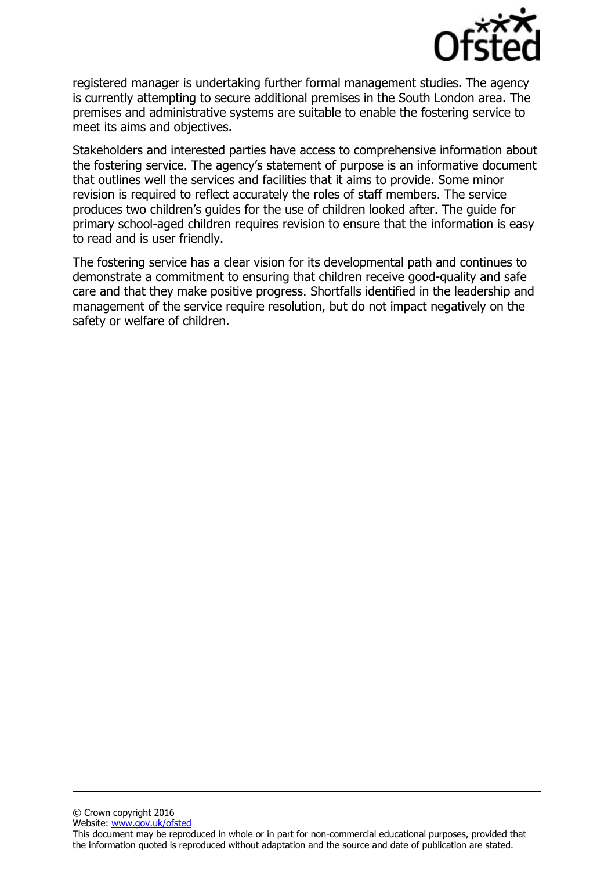

registered manager is undertaking further formal management studies. The agency is currently attempting to secure additional premises in the South London area. The premises and administrative systems are suitable to enable the fostering service to meet its aims and objectives.

Stakeholders and interested parties have access to comprehensive information about the fostering service. The agency's statement of purpose is an informative document that outlines well the services and facilities that it aims to provide. Some minor revision is required to reflect accurately the roles of staff members. The service produces two children's guides for the use of children looked after. The guide for primary school-aged children requires revision to ensure that the information is easy to read and is user friendly.

The fostering service has a clear vision for its developmental path and continues to demonstrate a commitment to ensuring that children receive good-quality and safe care and that they make positive progress. Shortfalls identified in the leadership and management of the service require resolution, but do not impact negatively on the safety or welfare of children.